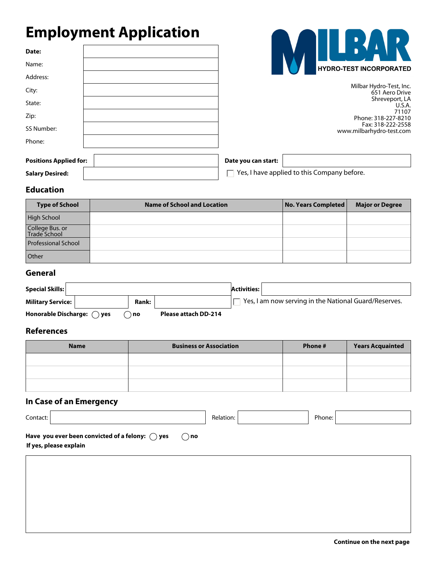# **Employment Application**

| Date:                         |  |
|-------------------------------|--|
| Name:                         |  |
| Address:                      |  |
| City:                         |  |
| State:                        |  |
| Zip:                          |  |
| SS Number:                    |  |
| Phone:                        |  |
| <b>Positions Applied for:</b> |  |



Milbar Hydro-Test, Inc. 651 Aero Drive Shreveport, LA U.S.A. 71107 Phone: 318-227-8210 Fax: 318-222-2558 www.milbarhydro-test.com

**Date you can start:**

**Salary Desired:**

 $\Box$  Yes, I have applied to this Company before.

## **Education**

| <b>Type of School</b>           | <b>Name of School and Location</b> | No. Years Completed | <b>Major or Degree</b> |
|---------------------------------|------------------------------------|---------------------|------------------------|
| High School                     |                                    |                     |                        |
| College Bus. or<br>Trade School |                                    |                     |                        |
| <b>Professional School</b>      |                                    |                     |                        |
| Other                           |                                    |                     |                        |

## **General**

| <b>Special Skills:</b>              |       |                      | <b>Activities:</b> |                                                       |
|-------------------------------------|-------|----------------------|--------------------|-------------------------------------------------------|
| <b>Military Service:</b>            | Rank: |                      |                    | Yes, I am now serving in the National Guard/Reserves. |
| Honorable Discharge: $\bigcirc$ yes | ) no  | Please attach DD-214 |                    |                                                       |

### **References**

| <b>Name</b> | <b>Business or Association</b> | Phone # | <b>Years Acquainted</b> |
|-------------|--------------------------------|---------|-------------------------|
|             |                                |         |                         |
|             |                                |         |                         |
|             |                                |         |                         |

# **In Case of an Emergency**

| Contact:                                                                                            | Relation: | Phone: |  |
|-----------------------------------------------------------------------------------------------------|-----------|--------|--|
| Have you ever been convicted of a felony: $\bigcirc$ yes<br>$\bigcirc$ no<br>If yes, please explain |           |        |  |
|                                                                                                     |           |        |  |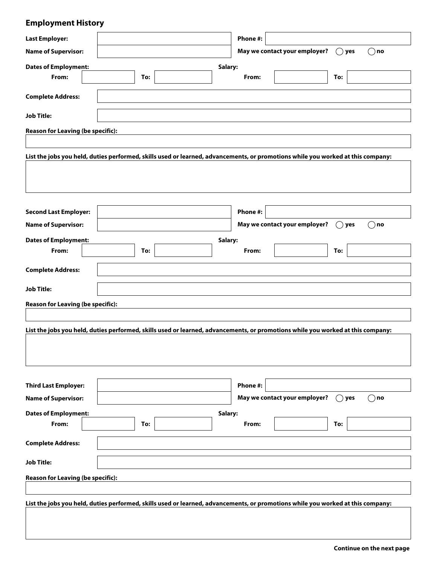# **Employment History**

 $\overline{\phantom{a}}$ 

| <b>Last Employer:</b>                                                                                                           |     |         | Phone #: |                               |                |               |
|---------------------------------------------------------------------------------------------------------------------------------|-----|---------|----------|-------------------------------|----------------|---------------|
| <b>Name of Supervisor:</b>                                                                                                      |     |         |          | May we contact your employer? | $( )$ yes      | $\bigcirc$ no |
|                                                                                                                                 |     |         |          |                               |                |               |
| <b>Dates of Employment:</b><br>From:                                                                                            | To: | Salary: | From:    |                               | To:            |               |
|                                                                                                                                 |     |         |          |                               |                |               |
| <b>Complete Address:</b>                                                                                                        |     |         |          |                               |                |               |
| <b>Job Title:</b>                                                                                                               |     |         |          |                               |                |               |
| <b>Reason for Leaving (be specific):</b>                                                                                        |     |         |          |                               |                |               |
|                                                                                                                                 |     |         |          |                               |                |               |
| List the jobs you held, duties performed, skills used or learned, advancements, or promotions while you worked at this company: |     |         |          |                               |                |               |
|                                                                                                                                 |     |         |          |                               |                |               |
|                                                                                                                                 |     |         |          |                               |                |               |
|                                                                                                                                 |     |         |          |                               |                |               |
|                                                                                                                                 |     |         |          |                               |                |               |
| <b>Second Last Employer:</b>                                                                                                    |     |         | Phone #: |                               |                |               |
| <b>Name of Supervisor:</b>                                                                                                      |     |         |          | May we contact your employer? | $($ )<br>yes   | $($ $)$ no    |
| <b>Dates of Employment:</b>                                                                                                     |     | Salary: |          |                               |                |               |
| From:                                                                                                                           | To: |         | From:    |                               | To:            |               |
| <b>Complete Address:</b>                                                                                                        |     |         |          |                               |                |               |
|                                                                                                                                 |     |         |          |                               |                |               |
| <b>Job Title:</b>                                                                                                               |     |         |          |                               |                |               |
| <b>Reason for Leaving (be specific):</b>                                                                                        |     |         |          |                               |                |               |
|                                                                                                                                 |     |         |          |                               |                |               |
| List the jobs you held, duties performed, skills used or learned, advancements, or promotions while you worked at this company: |     |         |          |                               |                |               |
|                                                                                                                                 |     |         |          |                               |                |               |
|                                                                                                                                 |     |         |          |                               |                |               |
|                                                                                                                                 |     |         |          |                               |                |               |
|                                                                                                                                 |     |         |          |                               |                |               |
| <b>Third Last Employer:</b>                                                                                                     |     |         | Phone #: |                               |                |               |
| <b>Name of Supervisor:</b>                                                                                                      |     |         |          | May we contact your employer? | $\bigcirc$ yes | $\bigcirc$ no |
| <b>Dates of Employment:</b>                                                                                                     |     | Salary: |          |                               |                |               |
| From:                                                                                                                           | To: |         | From:    |                               | To:            |               |
| <b>Complete Address:</b>                                                                                                        |     |         |          |                               |                |               |
| <b>Job Title:</b>                                                                                                               |     |         |          |                               |                |               |
| <b>Reason for Leaving (be specific):</b>                                                                                        |     |         |          |                               |                |               |
|                                                                                                                                 |     |         |          |                               |                |               |
| List the jobs you held, duties performed, skills used or learned, advancements, or promotions while you worked at this company: |     |         |          |                               |                |               |
|                                                                                                                                 |     |         |          |                               |                |               |
|                                                                                                                                 |     |         |          |                               |                |               |
|                                                                                                                                 |     |         |          |                               |                |               |